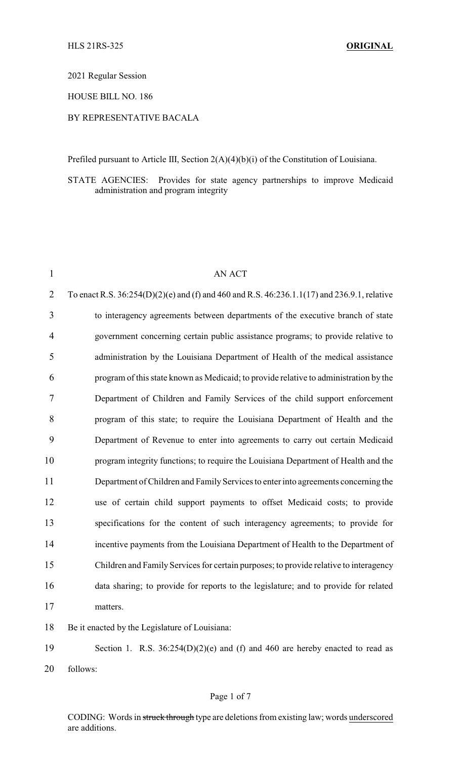2021 Regular Session

HOUSE BILL NO. 186

## BY REPRESENTATIVE BACALA

Prefiled pursuant to Article III, Section 2(A)(4)(b)(i) of the Constitution of Louisiana.

STATE AGENCIES: Provides for state agency partnerships to improve Medicaid administration and program integrity

| $\mathbf{1}$   | <b>AN ACT</b>                                                                               |
|----------------|---------------------------------------------------------------------------------------------|
| $\overline{2}$ | To enact R.S. 36:254(D)(2)(e) and (f) and 460 and R.S. 46:236.1.1(17) and 236.9.1, relative |
| 3              | to interagency agreements between departments of the executive branch of state              |
| 4              | government concerning certain public assistance programs; to provide relative to            |
| 5              | administration by the Louisiana Department of Health of the medical assistance              |
| 6              | program of this state known as Medicaid; to provide relative to administration by the       |
| 7              | Department of Children and Family Services of the child support enforcement                 |
| 8              | program of this state; to require the Louisiana Department of Health and the                |
| 9              | Department of Revenue to enter into agreements to carry out certain Medicaid                |
| 10             | program integrity functions; to require the Louisiana Department of Health and the          |
| 11             | Department of Children and Family Services to enter into agreements concerning the          |
| 12             | use of certain child support payments to offset Medicaid costs; to provide                  |
| 13             | specifications for the content of such interagency agreements; to provide for               |
| 14             | incentive payments from the Louisiana Department of Health to the Department of             |
| 15             | Children and Family Services for certain purposes; to provide relative to interagency       |
| 16             | data sharing; to provide for reports to the legislature; and to provide for related         |
| 17             | matters.                                                                                    |
| 18             | Be it enacted by the Legislature of Louisiana:                                              |

19 Section 1. R.S. 36:254(D)(2)(e) and (f) and 460 are hereby enacted to read as 20 follows:

## Page 1 of 7

CODING: Words in struck through type are deletions from existing law; words underscored are additions.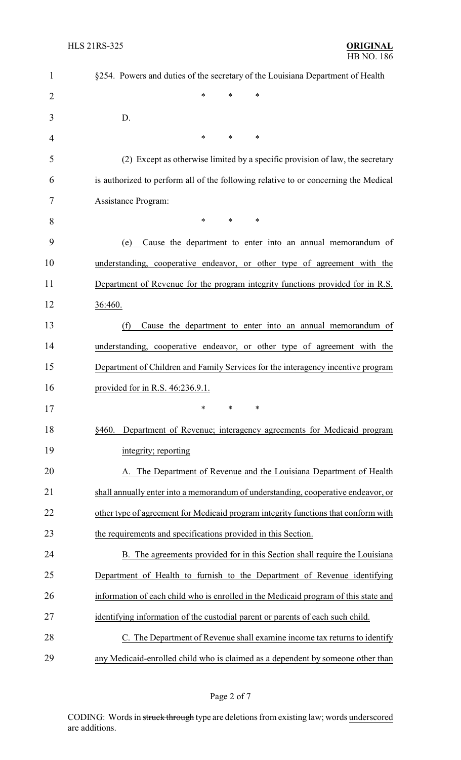| $\mathbf{1}$   | §254. Powers and duties of the secretary of the Louisiana Department of Health      |
|----------------|-------------------------------------------------------------------------------------|
| $\overline{2}$ | $\ast$<br>*<br>*                                                                    |
| 3              | D.                                                                                  |
| 4              | $\ast$<br>$\ast$<br>∗                                                               |
| 5              | (2) Except as otherwise limited by a specific provision of law, the secretary       |
| 6              | is authorized to perform all of the following relative to or concerning the Medical |
| 7              | Assistance Program:                                                                 |
| 8              | $\ast$<br>$\ast$<br>*                                                               |
| 9              | Cause the department to enter into an annual memorandum of<br>(e)                   |
| 10             | understanding, cooperative endeavor, or other type of agreement with the            |
| 11             | Department of Revenue for the program integrity functions provided for in R.S.      |
| 12             | 36:460.                                                                             |
| 13             | (f)<br>Cause the department to enter into an annual memorandum of                   |
| 14             | understanding, cooperative endeavor, or other type of agreement with the            |
| 15             | Department of Children and Family Services for the interagency incentive program    |
| 16             | provided for in R.S. 46:236.9.1.                                                    |
| 17             | ∗<br>∗<br>∗                                                                         |
| 18             | Department of Revenue; interagency agreements for Medicaid program<br>\$460.        |
| 19             | integrity; reporting                                                                |
| 20             | A. The Department of Revenue and the Louisiana Department of Health                 |
| 21             | shall annually enter into a memorandum of understanding, cooperative endeavor, or   |
| 22             | other type of agreement for Medicaid program integrity functions that conform with  |
| 23             | the requirements and specifications provided in this Section.                       |
| 24             | B. The agreements provided for in this Section shall require the Louisiana          |
| 25             | Department of Health to furnish to the Department of Revenue identifying            |
| 26             | information of each child who is enrolled in the Medicaid program of this state and |
| 27             | identifying information of the custodial parent or parents of each such child.      |
| 28             | C. The Department of Revenue shall examine income tax returns to identify           |
| 29             | any Medicaid-enrolled child who is claimed as a dependent by someone other than     |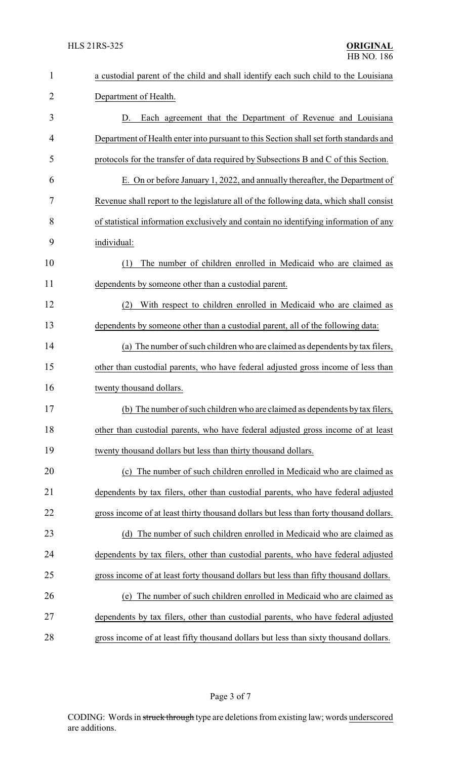| $\mathbf{1}$   | a custodial parent of the child and shall identify each such child to the Louisiana    |
|----------------|----------------------------------------------------------------------------------------|
| $\overline{2}$ | Department of Health.                                                                  |
| 3              | Each agreement that the Department of Revenue and Louisiana<br>D.                      |
| 4              | Department of Health enter into pursuant to this Section shall set forth standards and |
| 5              | protocols for the transfer of data required by Subsections B and C of this Section.    |
| 6              | E. On or before January 1, 2022, and annually thereafter, the Department of            |
| 7              | Revenue shall report to the legislature all of the following data, which shall consist |
| 8              | of statistical information exclusively and contain no identifying information of any   |
| 9              | individual:                                                                            |
| 10             | The number of children enrolled in Medicaid who are claimed as<br>(1)                  |
| 11             | dependents by someone other than a custodial parent.                                   |
| 12             | (2)<br>With respect to children enrolled in Medicaid who are claimed as                |
| 13             | dependents by someone other than a custodial parent, all of the following data:        |
| 14             | (a) The number of such children who are claimed as dependents by tax filers,           |
| 15             | other than custodial parents, who have federal adjusted gross income of less than      |
| 16             | twenty thousand dollars.                                                               |
| 17             | (b) The number of such children who are claimed as dependents by tax filers,           |
| 18             | other than custodial parents, who have federal adjusted gross income of at least       |
| 19             | twenty thousand dollars but less than thirty thousand dollars.                         |
| 20             | (c) The number of such children enrolled in Medicaid who are claimed as                |
| 21             | dependents by tax filers, other than custodial parents, who have federal adjusted      |
| 22             | gross income of at least thirty thousand dollars but less than forty thousand dollars. |
| 23             | (d) The number of such children enrolled in Medicaid who are claimed as                |
| 24             | dependents by tax filers, other than custodial parents, who have federal adjusted      |
| 25             | gross income of at least forty thousand dollars but less than fifty thousand dollars.  |
| 26             | (e) The number of such children enrolled in Medicaid who are claimed as                |
| 27             | dependents by tax filers, other than custodial parents, who have federal adjusted      |
| 28             | gross income of at least fifty thousand dollars but less than sixty thousand dollars.  |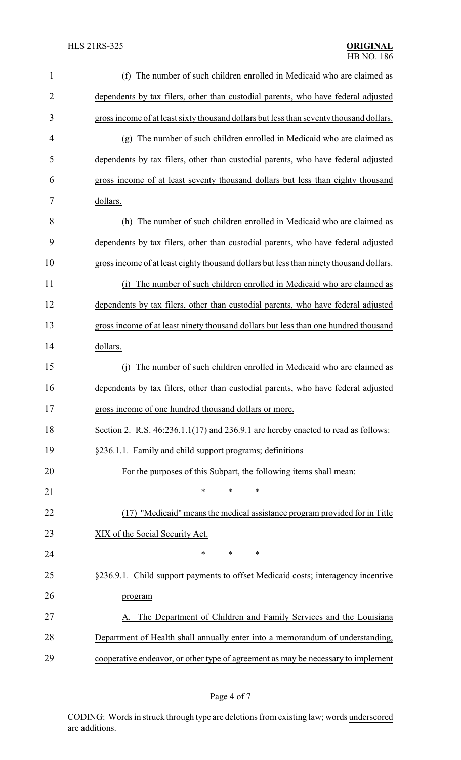| $\mathbf{1}$   | The number of such children enrolled in Medicaid who are claimed as<br>(f)              |
|----------------|-----------------------------------------------------------------------------------------|
| $\overline{2}$ | dependents by tax filers, other than custodial parents, who have federal adjusted       |
| 3              | gross income of at least sixty thousand dollars but less than seventy thousand dollars. |
| 4              | (g) The number of such children enrolled in Medicaid who are claimed as                 |
| 5              | dependents by tax filers, other than custodial parents, who have federal adjusted       |
| 6              | gross income of at least seventy thousand dollars but less than eighty thousand         |
| 7              | dollars.                                                                                |
| 8              | The number of such children enrolled in Medicaid who are claimed as<br>(h)              |
| 9              | dependents by tax filers, other than custodial parents, who have federal adjusted       |
| 10             | gross income of at least eighty thousand dollars but less than ninety thousand dollars. |
| 11             | The number of such children enrolled in Medicaid who are claimed as<br>(i)              |
| 12             | dependents by tax filers, other than custodial parents, who have federal adjusted       |
| 13             | gross income of at least ninety thousand dollars but less than one hundred thousand     |
| 14             | dollars.                                                                                |
| 15             | The number of such children enrolled in Medicaid who are claimed as                     |
| 16             | dependents by tax filers, other than custodial parents, who have federal adjusted       |
| 17             | gross income of one hundred thousand dollars or more.                                   |
| 18             | Section 2. R.S. 46:236.1.1(17) and 236.9.1 are hereby enacted to read as follows:       |
| 19             | §236.1.1. Family and child support programs; definitions                                |
| 20             | For the purposes of this Subpart, the following items shall mean:                       |
| 21             | $\ast$<br>∗<br>*                                                                        |
| 22             | (17) "Medicaid" means the medical assistance program provided for in Title              |
| 23             | XIX of the Social Security Act.                                                         |
| 24             | *<br>*<br>∗                                                                             |
| 25             | §236.9.1. Child support payments to offset Medicaid costs; interagency incentive        |
| 26             | program                                                                                 |
| 27             | The Department of Children and Family Services and the Louisiana                        |
| 28             | Department of Health shall annually enter into a memorandum of understanding,           |
| 29             | cooperative endeavor, or other type of agreement as may be necessary to implement       |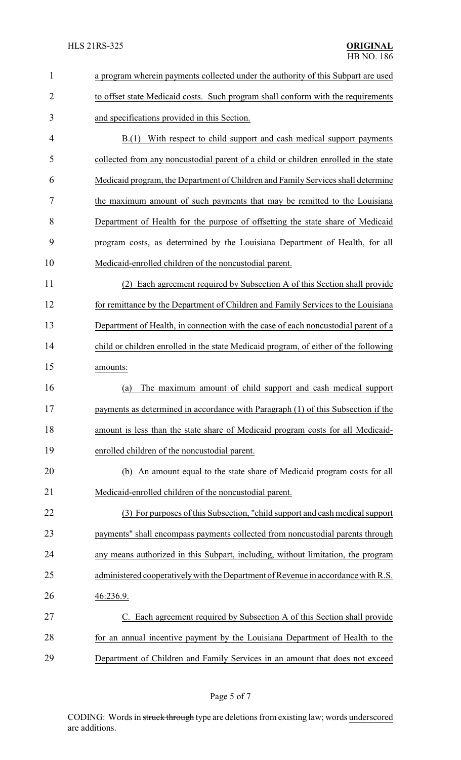| $\mathbf{1}$   | a program wherein payments collected under the authority of this Subpart are used    |
|----------------|--------------------------------------------------------------------------------------|
| $\overline{2}$ | to offset state Medicaid costs. Such program shall conform with the requirements     |
| 3              | and specifications provided in this Section.                                         |
| 4              | B.(1) With respect to child support and cash medical support payments                |
| 5              | collected from any noncustodial parent of a child or children enrolled in the state  |
| 6              | Medicaid program, the Department of Children and Family Services shall determine     |
| 7              | the maximum amount of such payments that may be remitted to the Louisiana            |
| 8              | Department of Health for the purpose of offsetting the state share of Medicaid       |
| 9              | program costs, as determined by the Louisiana Department of Health, for all          |
| 10             | Medicaid-enrolled children of the noncustodial parent.                               |
| 11             | Each agreement required by Subsection A of this Section shall provide<br>(2)         |
| 12             | for remittance by the Department of Children and Family Services to the Louisiana    |
| 13             | Department of Health, in connection with the case of each noncustodial parent of a   |
| 14             | child or children enrolled in the state Medicaid program, of either of the following |
| 15             | amounts:                                                                             |
| 16             | The maximum amount of child support and cash medical support<br>(a)                  |
| 17             | payments as determined in accordance with Paragraph (1) of this Subsection if the    |
| 18             | amount is less than the state share of Medicaid program costs for all Medicaid-      |
| 19             | enrolled children of the noncustodial parent.                                        |
| 20             | An amount equal to the state share of Medicaid program costs for all<br>(b)          |
| 21             | Medicaid-enrolled children of the noncustodial parent.                               |
| 22             | (3) For purposes of this Subsection, "child support and cash medical support         |
| 23             | payments" shall encompass payments collected from noncustodial parents through       |
| 24             | any means authorized in this Subpart, including, without limitation, the program     |
| 25             | administered cooperatively with the Department of Revenue in accordance with R.S.    |
| 26             | 46:236.9.                                                                            |
| 27             | Each agreement required by Subsection A of this Section shall provide                |
| 28             | for an annual incentive payment by the Louisiana Department of Health to the         |
| 29             | Department of Children and Family Services in an amount that does not exceed         |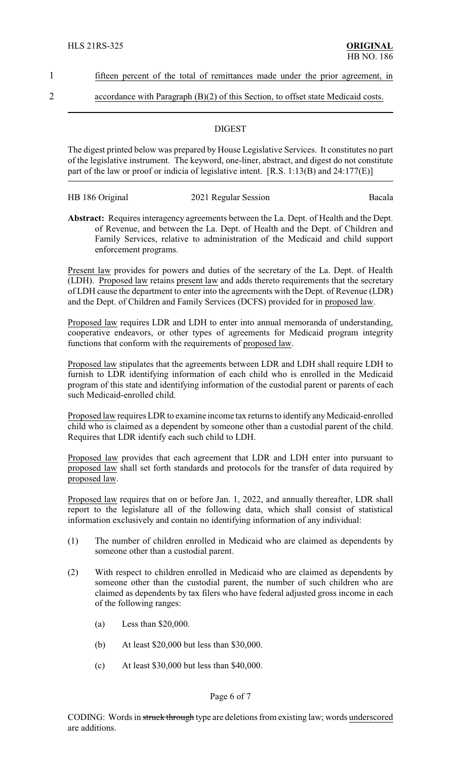1 fifteen percent of the total of remittances made under the prior agreement, in

## 2 accordance with Paragraph (B)(2) of this Section, to offset state Medicaid costs.

## **DIGEST**

The digest printed below was prepared by House Legislative Services. It constitutes no part of the legislative instrument. The keyword, one-liner, abstract, and digest do not constitute part of the law or proof or indicia of legislative intent. [R.S. 1:13(B) and 24:177(E)]

| HB 186 Original | 2021 Regular Session | Bacala |
|-----------------|----------------------|--------|
|                 |                      |        |

**Abstract:** Requires interagency agreements between the La. Dept. of Health and the Dept. of Revenue, and between the La. Dept. of Health and the Dept. of Children and Family Services, relative to administration of the Medicaid and child support enforcement programs.

Present law provides for powers and duties of the secretary of the La. Dept. of Health (LDH). Proposed law retains present law and adds thereto requirements that the secretary of LDH cause the department to enter into the agreements with the Dept. of Revenue (LDR) and the Dept. of Children and Family Services (DCFS) provided for in proposed law.

Proposed law requires LDR and LDH to enter into annual memoranda of understanding, cooperative endeavors, or other types of agreements for Medicaid program integrity functions that conform with the requirements of proposed law.

Proposed law stipulates that the agreements between LDR and LDH shall require LDH to furnish to LDR identifying information of each child who is enrolled in the Medicaid program of this state and identifying information of the custodial parent or parents of each such Medicaid-enrolled child.

Proposed law requires LDR to examine income tax returns to identify any Medicaid-enrolled child who is claimed as a dependent by someone other than a custodial parent of the child. Requires that LDR identify each such child to LDH.

Proposed law provides that each agreement that LDR and LDH enter into pursuant to proposed law shall set forth standards and protocols for the transfer of data required by proposed law.

Proposed law requires that on or before Jan. 1, 2022, and annually thereafter, LDR shall report to the legislature all of the following data, which shall consist of statistical information exclusively and contain no identifying information of any individual:

- (1) The number of children enrolled in Medicaid who are claimed as dependents by someone other than a custodial parent.
- (2) With respect to children enrolled in Medicaid who are claimed as dependents by someone other than the custodial parent, the number of such children who are claimed as dependents by tax filers who have federal adjusted gross income in each of the following ranges:
	- (a) Less than \$20,000.
	- (b) At least \$20,000 but less than \$30,000.
	- (c) At least \$30,000 but less than \$40,000.